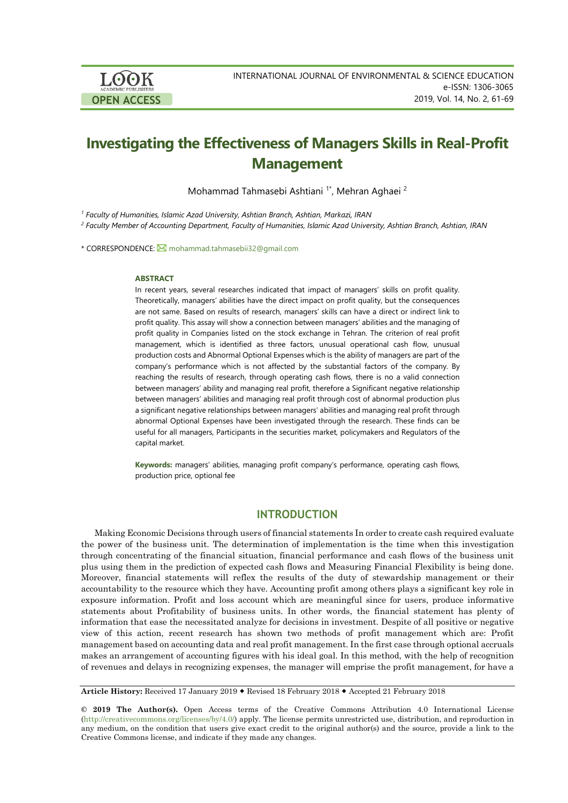

# **Investigating the Effectiveness of Managers Skills in Real-Profit Management**

Mohammad Tahmasebi Ashtiani<sup>1\*</sup>, Mehran Aghaei<sup>2</sup>

*<sup>1</sup> Faculty of Humanities, Islamic Azad University, Ashtian Branch, Ashtian, Markazi, IRAN*

<sup>2</sup> Faculty Member of Accounting Department. Faculty of Humanities, Islamic Azad University, Ashtian Branch, Ashtian, IRAN

\* CORRESPONDENCE: 2 [mohammad.tahmasebii32@gmail.com](mailto:mohammad.tahmasebii32@gmail.com)

#### **ABSTRACT**

In recent years, several researches indicated that impact of managers' skills on profit quality. Theoretically, managers' abilities have the direct impact on profit quality, but the consequences are not same. Based on results of research, managers' skills can have a direct or indirect link to profit quality. This assay will show a connection between managers' abilities and the managing of profit quality in Companies listed on the stock exchange in Tehran. The criterion of real profit management, which is identified as three factors, unusual operational cash flow, unusual production costs and Abnormal Optional Expenses which is the ability of managers are part of the company's performance which is not affected by the substantial factors of the company. By reaching the results of research, through operating cash flows, there is no a valid connection between managers' ability and managing real profit, therefore a Significant negative relationship between managers' abilities and managing real profit through cost of abnormal production plus a significant negative relationships between managers' abilities and managing real profit through abnormal Optional Expenses have been investigated through the research. These finds can be useful for all managers, Participants in the securities market, policymakers and Regulators of the capital market.

**Keywords:** managers' abilities, managing profit company's performance, operating cash flows, production price, optional fee

# **INTRODUCTION**

Making Economic Decisions through users of financial statements In order to create cash required evaluate the power of the business unit. The determination of implementation is the time when this investigation through concentrating of the financial situation, financial performance and cash flows of the business unit plus using them in the prediction of expected cash flows and Measuring Financial Flexibility is being done. Moreover, financial statements will reflex the results of the duty of stewardship management or their accountability to the resource which they have. Accounting profit among others plays a significant key role in exposure information. Profit and loss account which are meaningful since for users, produce informative statements about Profitability of business units. In other words, the financial statement has plenty of information that ease the necessitated analyze for decisions in investment. Despite of all positive or negative view of this action, recent research has shown two methods of profit management which are: Profit management based on accounting data and real profit management. In the first case through optional accruals makes an arrangement of accounting figures with his ideal goal. In this method, with the help of recognition of revenues and delays in recognizing expenses, the manager will emprise the profit management, for have a

**Article History:** Received 17 January 2019 Revised 18 February 2018 Accepted 21 February 2018

**© 2019 The Author(s).** Open Access terms of the Creative Commons Attribution 4.0 International License [\(http://creativecommons.org/licenses/by/4.0/\)](http://creativecommons.org/licenses/by/4.0/) apply. The license permits unrestricted use, distribution, and reproduction in any medium, on the condition that users give exact credit to the original author(s) and the source, provide a link to the Creative Commons license, and indicate if they made any changes.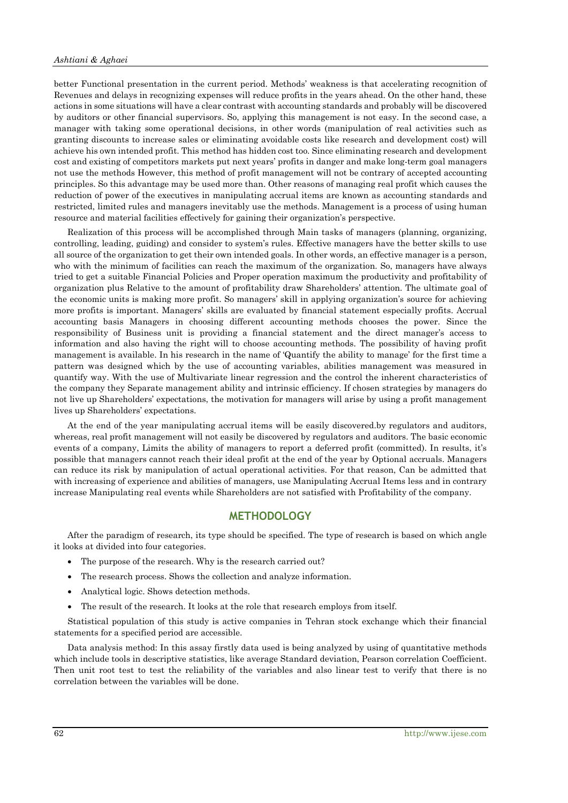better Functional presentation in the current period. Methods' weakness is that accelerating recognition of Revenues and delays in recognizing expenses will reduce profits in the years ahead. On the other hand, these actions in some situations will have a clear contrast with accounting standards and probably will be discovered by auditors or other financial supervisors. So, applying this management is not easy. In the second case, a manager with taking some operational decisions, in other words (manipulation of real activities such as granting discounts to increase sales or eliminating avoidable costs like research and development cost) will achieve his own intended profit. This method has hidden cost too. Since eliminating research and development cost and existing of competitors markets put next years' profits in danger and make long-term goal managers not use the methods However, this method of profit management will not be contrary of accepted accounting principles. So this advantage may be used more than. Other reasons of managing real profit which causes the reduction of power of the executives in manipulating accrual items are known as accounting standards and restricted, limited rules and managers inevitably use the methods. Management is a process of using human resource and material facilities effectively for gaining their organization's perspective.

Realization of this process will be accomplished through Main tasks of managers (planning, organizing, controlling, leading, guiding) and consider to system's rules. Effective managers have the better skills to use all source of the organization to get their own intended goals. In other words, an effective manager is a person, who with the minimum of facilities can reach the maximum of the organization. So, managers have always tried to get a suitable Financial Policies and Proper operation maximum the productivity and profitability of organization plus Relative to the amount of profitability draw Shareholders' attention. The ultimate goal of the economic units is making more profit. So managers' skill in applying organization's source for achieving more profits is important. Managers' skills are evaluated by financial statement especially profits. Accrual accounting basis Managers in choosing different accounting methods chooses the power. Since the responsibility of Business unit is providing a financial statement and the direct manager's access to information and also having the right will to choose accounting methods. The possibility of having profit management is available. In his research in the name of 'Quantify the ability to manage' for the first time a pattern was designed which by the use of accounting variables, abilities management was measured in quantify way. With the use of Multivariate linear regression and the control the inherent characteristics of the company they Separate management ability and intrinsic efficiency. If chosen strategies by managers do not live up Shareholders' expectations, the motivation for managers will arise by using a profit management lives up Shareholders' expectations.

At the end of the year manipulating accrual items will be easily discovered.by regulators and auditors, whereas, real profit management will not easily be discovered by regulators and auditors. The basic economic events of a company, Limits the ability of managers to report a deferred profit (committed). In results, it's possible that managers cannot reach their ideal profit at the end of the year by Optional accruals. Managers can reduce its risk by manipulation of actual operational activities. For that reason, Can be admitted that with increasing of experience and abilities of managers, use Manipulating Accrual Items less and in contrary increase Manipulating real events while Shareholders are not satisfied with Profitability of the company.

# **METHODOLOGY**

After the paradigm of research, its type should be specified. The type of research is based on which angle it looks at divided into four categories.

- The purpose of the research. Why is the research carried out?
- The research process. Shows the collection and analyze information.
- Analytical logic. Shows detection methods.
- The result of the research. It looks at the role that research employs from itself.

Statistical population of this study is active companies in Tehran stock exchange which their financial statements for a specified period are accessible.

Data analysis method: In this assay firstly data used is being analyzed by using of quantitative methods which include tools in descriptive statistics, like average Standard deviation, Pearson correlation Coefficient. Then unit root test to test the reliability of the variables and also linear test to verify that there is no correlation between the variables will be done.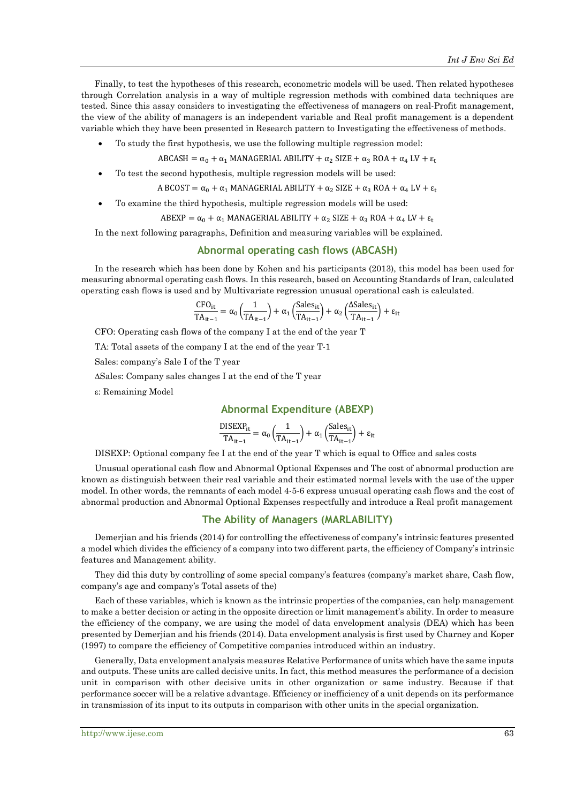Finally, to test the hypotheses of this research, econometric models will be used. Then related hypotheses through Correlation analysis in a way of multiple regression methods with combined data techniques are tested. Since this assay considers to investigating the effectiveness of managers on real-Profit management, the view of the ability of managers is an independent variable and Real profit management is a dependent variable which they have been presented in Research pattern to Investigating the effectiveness of methods.

• To study the first hypothesis, we use the following multiple regression model:

 $ABCASH = \alpha_0 + \alpha_1$  MANAGERIAL ABILITY +  $\alpha_2$  SIZE +  $\alpha_3$  ROA +  $\alpha_4$  LV +  $\varepsilon_t$ 

• To test the second hypothesis, multiple regression models will be used:

A BCOST = 
$$
\alpha_0 + \alpha_1
$$
 MANAGERIAL ABILITY +  $\alpha_2$  SIZE +  $\alpha_3$  ROA +  $\alpha_4$  LV +  $\epsilon_t$ 

• To examine the third hypothesis, multiple regression models will be used:

 $ABEXP = \alpha_0 + \alpha_1$  MANAGERIAL ABILITY +  $\alpha_2$  SIZE +  $\alpha_3$  ROA +  $\alpha_4$  LV +  $\varepsilon_t$ 

In the next following paragraphs, Definition and measuring variables will be explained.

## **Abnormal operating cash flows (ABCASH)**

In the research which has been done by Kohen and his participants (2013), this model has been used for measuring abnormal operating cash flows. In this research, based on Accounting Standards of Iran, calculated operating cash flows is used and by Multivariate regression unusual operational cash is calculated.

$$
\frac{\text{CFO}_{it}}{\text{TA}_{it-1}} = \alpha_0 \left(\frac{1}{\text{TA}_{it-1}}\right) + \alpha_1 \left(\frac{\text{Sales}_{it}}{\text{TA}_{it-1}}\right) + \alpha_2 \left(\frac{\text{ASales}_{it}}{\text{TA}_{it-1}}\right) + \epsilon_{it}
$$

CFO: Operating cash flows of the company I at the end of the year T

TA: Total assets of the company I at the end of the year T-1

Sales: company's Sale I of the T year

∆Sales: Company sales changes I at the end of the T year

ε: Remaining Model

## **Abnormal Expenditure (ABEXP)**

$$
\frac{\text{DISEXP}_{it}}{\text{TA}_{it-1}} = \alpha_0 \left( \frac{1}{\text{TA}_{it-1}} \right) + \alpha_1 \left( \frac{\text{Sales}_{it}}{\text{TA}_{it-1}} \right) + \epsilon_{it}
$$

DISEXP: Optional company fee I at the end of the year T which is equal to Office and sales costs

Unusual operational cash flow and Abnormal Optional Expenses and The cost of abnormal production are known as distinguish between their real variable and their estimated normal levels with the use of the upper model. In other words, the remnants of each model 4-5-6 express unusual operating cash flows and the cost of abnormal production and Abnormal Optional Expenses respectfully and introduce a Real profit management

## **The Ability of Managers (MARLABILITY)**

Demerjian and his friends (2014) for controlling the effectiveness of company's intrinsic features presented a model which divides the efficiency of a company into two different parts, the efficiency of Company's intrinsic features and Management ability.

They did this duty by controlling of some special company's features (company's market share, Cash flow, company's age and company's Total assets of the)

Each of these variables, which is known as the intrinsic properties of the companies, can help management to make a better decision or acting in the opposite direction or limit management's ability. In order to measure the efficiency of the company, we are using the model of data envelopment analysis (DEA) which has been presented by Demerjian and his friends (2014). Data envelopment analysis is first used by Charney and Koper (1997) to compare the efficiency of Competitive companies introduced within an industry.

Generally, Data envelopment analysis measures Relative Performance of units which have the same inputs and outputs. These units are called decisive units. In fact, this method measures the performance of a decision unit in comparison with other decisive units in other organization or same industry. Because if that performance soccer will be a relative advantage. Efficiency or inefficiency of a unit depends on its performance in transmission of its input to its outputs in comparison with other units in the special organization.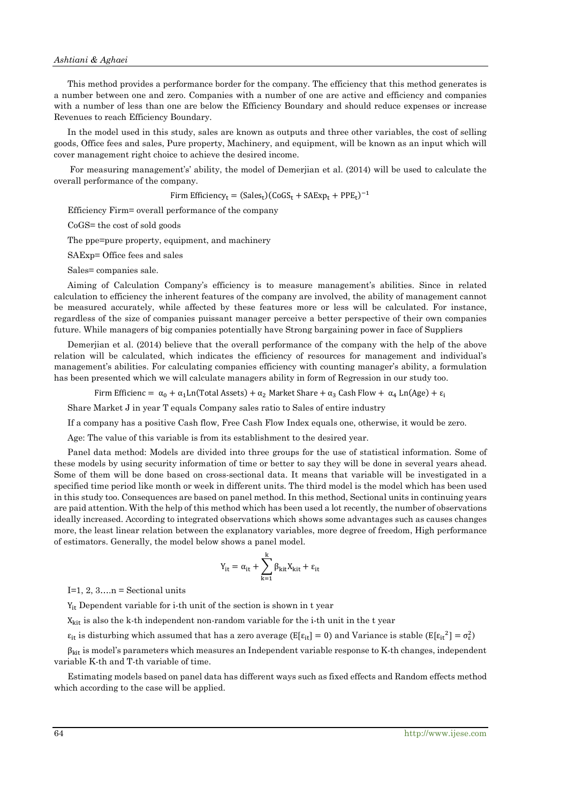This method provides a performance border for the company. The efficiency that this method generates is a number between one and zero. Companies with a number of one are active and efficiency and companies with a number of less than one are below the Efficiency Boundary and should reduce expenses or increase Revenues to reach Efficiency Boundary.

In the model used in this study, sales are known as outputs and three other variables, the cost of selling goods, Office fees and sales, Pure property, Machinery, and equipment, will be known as an input which will cover management right choice to achieve the desired income.

For measuring management's' ability, the model of Demerjian et al. (2014) will be used to calculate the overall performance of the company.

Firm Efficiency<sub>t</sub> =  $(Sales_t)(CoGS_t + SAExp_t + PPE_t)^{-1}$ 

Efficiency Firm= overall performance of the company

CoGS= the cost of sold goods

The ppe=pure property, equipment, and machinery

SAExp= Office fees and sales

Sales= companies sale.

Aiming of Calculation Company's efficiency is to measure management's abilities. Since in related calculation to efficiency the inherent features of the company are involved, the ability of management cannot be measured accurately, while affected by these features more or less will be calculated. For instance, regardless of the size of companies puissant manager perceive a better perspective of their own companies future. While managers of big companies potentially have Strong bargaining power in face of Suppliers

Demerjian et al. (2014) believe that the overall performance of the company with the help of the above relation will be calculated, which indicates the efficiency of resources for management and individual's management's abilities. For calculating companies efficiency with counting manager's ability, a formulation has been presented which we will calculate managers ability in form of Regression in our study too.

Firm Efficienc =  $\alpha_0 + \alpha_1$ Ln(Total Assets) +  $\alpha_2$  Market Share +  $\alpha_3$  Cash Flow +  $\alpha_4$  Ln(Age) +  $\varepsilon_1$ 

Share Market J in year T equals Company sales ratio to Sales of entire industry

If a company has a positive Cash flow, Free Cash Flow Index equals one, otherwise, it would be zero.

Age: The value of this variable is from its establishment to the desired year.

Panel data method: Models are divided into three groups for the use of statistical information. Some of these models by using security information of time or better to say they will be done in several years ahead. Some of them will be done based on cross-sectional data. It means that variable will be investigated in a specified time period like month or week in different units. The third model is the model which has been used in this study too. Consequences are based on panel method. In this method, Sectional units in continuing years are paid attention. With the help of this method which has been used a lot recently, the number of observations ideally increased. According to integrated observations which shows some advantages such as causes changes more, the least linear relation between the explanatory variables, more degree of freedom, High performance of estimators. Generally, the model below shows a panel model.

$$
Y_{it} = \alpha_{it} + \sum_{k=1}^{k} \beta_{kit} X_{kit} + \varepsilon_{it}
$$

I=1, 2,  $3...n$  = Sectional units

 $Y_{it}$  Dependent variable for i-th unit of the section is shown in t year

 $X<sub>kit</sub>$  is also the k-th independent non-random variable for the i-th unit in the t year

 $\varepsilon_{it}$  is disturbing which assumed that has a zero average (E[ $\varepsilon_{it}$ ] = 0) and Variance is stable (E[ $\varepsilon_{it}^2$ ] =  $\sigma_{\varepsilon}^2$ )

 $\beta_{kit}$  is model's parameters which measures an Independent variable response to K-th changes, independent variable K-th and T-th variable of time.

Estimating models based on panel data has different ways such as fixed effects and Random effects method which according to the case will be applied.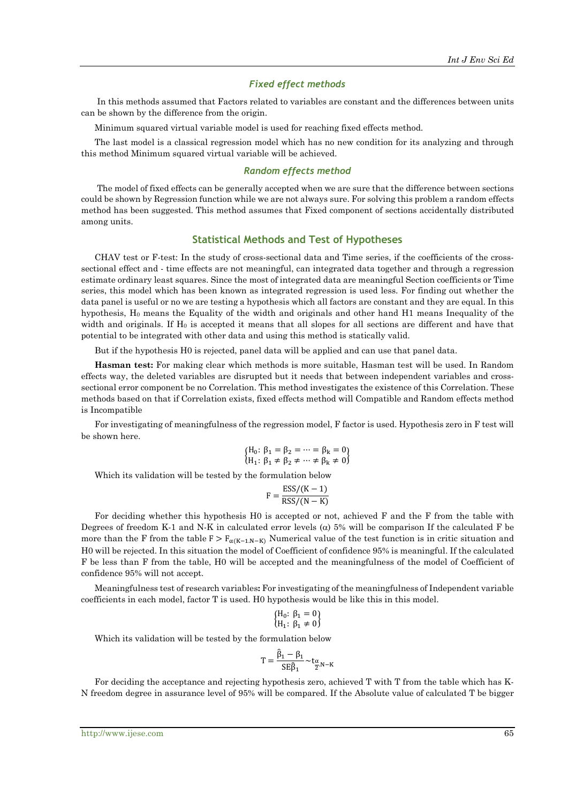#### *Fixed effect methods*

In this methods assumed that Factors related to variables are constant and the differences between units can be shown by the difference from the origin.

Minimum squared virtual variable model is used for reaching fixed effects method.

The last model is a classical regression model which has no new condition for its analyzing and through this method Minimum squared virtual variable will be achieved.

#### *Random effects method*

The model of fixed effects can be generally accepted when we are sure that the difference between sections could be shown by Regression function while we are not always sure. For solving this problem a random effects method has been suggested. This method assumes that Fixed component of sections accidentally distributed among units.

### **Statistical Methods and Test of Hypotheses**

CHAV test or F-test: In the study of cross-sectional data and Time series, if the coefficients of the crosssectional effect and - time effects are not meaningful, can integrated data together and through a regression estimate ordinary least squares. Since the most of integrated data are meaningful Section coefficients or Time series, this model which has been known as integrated regression is used less. For finding out whether the data panel is useful or no we are testing a hypothesis which all factors are constant and they are equal. In this hypothesis, H0 means the Equality of the width and originals and other hand H1 means Inequality of the width and originals. If  $H_0$  is accepted it means that all slopes for all sections are different and have that potential to be integrated with other data and using this method is statically valid.

But if the hypothesis H0 is rejected, panel data will be applied and can use that panel data.

**Hasman test:** For making clear which methods is more suitable, Hasman test will be used. In Random effects way, the deleted variables are disrupted but it needs that between independent variables and crosssectional error component be no Correlation. This method investigates the existence of this Correlation. These methods based on that if Correlation exists, fixed effects method will Compatible and Random effects method is Incompatible

For investigating of meaningfulness of the regression model, F factor is used. Hypothesis zero in F test will be shown here.

$$
\begin{array}{l} \left\{ H_{0}\colon\,\beta_{1}=\beta_{2}=\cdots=\beta_{k}=0\right.\\ \left\{ H_{1}\colon\,\beta_{1}\neq\beta_{2}\neq\cdots\neq\beta_{k}\neq0\right\} \end{array}
$$

Which its validation will be tested by the formulation below

$$
F = \frac{\text{ESS}/(K-1)}{\text{RSS}/(N-K)}
$$

For deciding whether this hypothesis H0 is accepted or not, achieved F and the F from the table with Degrees of freedom K-1 and N-K in calculated error levels ( $\alpha$ ) 5% will be comparison If the calculated F be more than the F from the table  $F > F_{\alpha(K-1,N-K)}$  Numerical value of the test function is in critic situation and H0 will be rejected. In this situation the model of Coefficient of confidence 95% is meaningful. If the calculated F be less than F from the table, H0 will be accepted and the meaningfulness of the model of Coefficient of confidence 95% will not accept.

Meaningfulness test of research variables**:** For investigating of the meaningfulness of Independent variable coefficients in each model, factor T is used. H0 hypothesis would be like this in this model.

$$
\begin{cases} H_0: \ \beta_1 = 0 \\ H_1: \ \beta_1 \neq 0 \end{cases}
$$

Which its validation will be tested by the formulation below

$$
T = \frac{\hat{\beta}_1 - \beta_1}{SE\hat{\beta}_1} \sim t_{\frac{\alpha}{2}N-K}
$$

For deciding the acceptance and rejecting hypothesis zero, achieved T with T from the table which has K-N freedom degree in assurance level of 95% will be compared. If the Absolute value of calculated T be bigger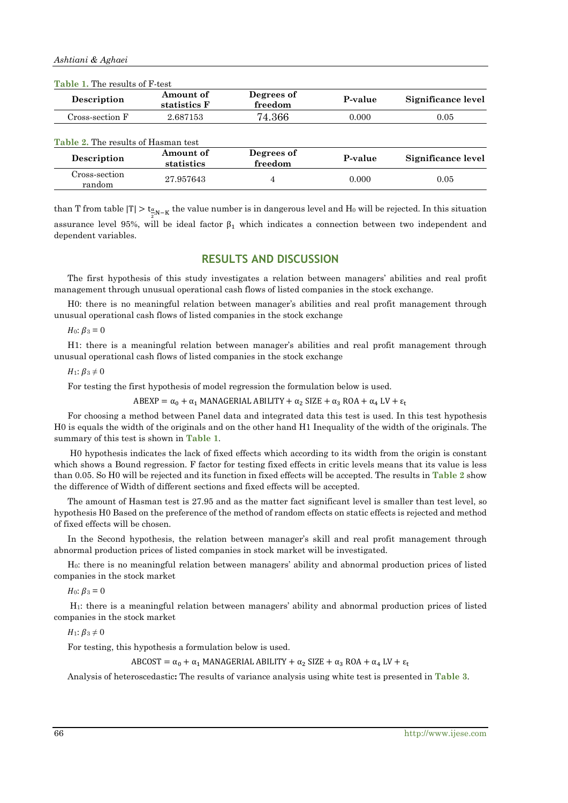| Description                                        | Amount of<br>statistics F | Degrees of<br>freedom | P-value | Significance level |
|----------------------------------------------------|---------------------------|-----------------------|---------|--------------------|
| Cross-section F                                    | 2.687153                  | 74.366                | 0.000   | 0.05               |
|                                                    |                           |                       |         |                    |
| Table 2. The results of Hasman test<br>Description | Amount of                 | Degrees of            | P-value | Significance level |
| Cross-section                                      | statistics                | freedom               |         |                    |

**Table 1.** The results of F-test

than T from table  $|T| > t_{\frac{\alpha}{2}N-K}$  the value number is in dangerous level and  $H_0$  will be rejected. In this situation assurance level 95%, will be ideal factor  $\beta_1$  which indicates a connection between two independent and dependent variables.

# **RESULTS AND DISCUSSION**

The first hypothesis of this study investigates a relation between managers' abilities and real profit management through unusual operational cash flows of listed companies in the stock exchange.

H0: there is no meaningful relation between manager's abilities and real profit management through unusual operational cash flows of listed companies in the stock exchange

*H*<sub>0</sub>:  $\beta_3 = 0$ 

H1: there is a meaningful relation between manager's abilities and real profit management through unusual operational cash flows of listed companies in the stock exchange

 $H_1$ :  $\beta_3 \neq 0$ 

For testing the first hypothesis of model regression the formulation below is used.

 $ABEXP = \alpha_0 + \alpha_1$  MANAGERIAL ABILITY +  $\alpha_2$  SIZE +  $\alpha_3$  ROA +  $\alpha_4$  LV +  $\varepsilon_1$ 

For choosing a method between Panel data and integrated data this test is used. In this test hypothesis H0 is equals the width of the originals and on the other hand H1 Inequality of the width of the originals. The summary of this test is shown in **Table 1**.

H0 hypothesis indicates the lack of fixed effects which according to its width from the origin is constant which shows a Bound regression. F factor for testing fixed effects in critic levels means that its value is less than 0.05. So H0 will be rejected and its function in fixed effects will be accepted. The results in **Table 2** show the difference of Width of different sections and fixed effects will be accepted.

The amount of Hasman test is 27.95 and as the matter fact significant level is smaller than test level, so hypothesis H0 Based on the preference of the method of random effects on static effects is rejected and method of fixed effects will be chosen.

In the Second hypothesis, the relation between manager's skill and real profit management through abnormal production prices of listed companies in stock market will be investigated.

H0: there is no meaningful relation between managers' ability and abnormal production prices of listed companies in the stock market

*H*<sub>0</sub>:  $\beta_3 = 0$ 

H1: there is a meaningful relation between managers' ability and abnormal production prices of listed companies in the stock market

 $H_1$ :  $\beta_3 \neq 0$ 

For testing, this hypothesis a formulation below is used.

ABCOST =  $\alpha_0$  +  $\alpha_1$  MANAGERIAL ABILITY +  $\alpha_2$  SIZE +  $\alpha_3$  ROA +  $\alpha_4$  LV +  $\varepsilon_t$ 

Analysis of heteroscedastic**:** The results of variance analysis using white test is presented in **Table 3**.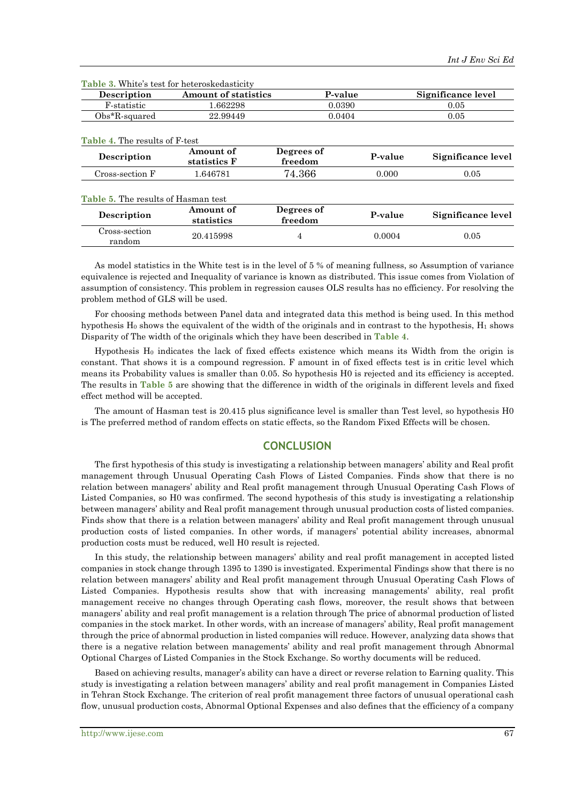| <b>Description</b> | <b>Amount of statistics</b> | P-value | Significance level |
|--------------------|-----------------------------|---------|--------------------|
| F-statistic        | .662298                     | 0.0390  | 0.05               |
| Obs*R-squared      | 22.99449                    | 0.0404  | $\rm 0.05$         |
|                    |                             |         |                    |

**Table 3.** White's test for heteroskedasticity

| o oo xaadada                        | --                        |                       |         |                    |  |
|-------------------------------------|---------------------------|-----------------------|---------|--------------------|--|
| Table 4. The results of F-test      |                           |                       |         |                    |  |
| Description                         | Amount of<br>statistics F | Degrees of<br>freedom | P-value | Significance level |  |
| Cross-section F                     | 1.646781                  | 74.366                | 0.000   | 0.05               |  |
| Table 5. The results of Hasman test |                           |                       |         |                    |  |
| Description                         | Amount of<br>statistics   | Degrees of<br>freedom | P-value | Significance level |  |
| Cross-section<br>random             | 20.415998                 | 4                     | 0.0004  | 0.05               |  |

As model statistics in the White test is in the level of 5 % of meaning fullness, so Assumption of variance equivalence is rejected and Inequality of variance is known as distributed. This issue comes from Violation of assumption of consistency. This problem in regression causes OLS results has no efficiency. For resolving the problem method of GLS will be used.

For choosing methods between Panel data and integrated data this method is being used. In this method hypothesis  $H_0$  shows the equivalent of the width of the originals and in contrast to the hypothesis,  $H_1$  shows Disparity of The width of the originals which they have been described in **Table 4**.

Hypothesis H<sub>0</sub> indicates the lack of fixed effects existence which means its Width from the origin is constant. That shows it is a compound regression. F amount in of fixed effects test is in critic level which means its Probability values is smaller than 0.05. So hypothesis H0 is rejected and its efficiency is accepted. The results in **Table 5** are showing that the difference in width of the originals in different levels and fixed effect method will be accepted.

The amount of Hasman test is 20.415 plus significance level is smaller than Test level, so hypothesis H0 is The preferred method of random effects on static effects, so the Random Fixed Effects will be chosen.

# **CONCLUSION**

The first hypothesis of this study is investigating a relationship between managers' ability and Real profit management through Unusual Operating Cash Flows of Listed Companies. Finds show that there is no relation between managers' ability and Real profit management through Unusual Operating Cash Flows of Listed Companies, so H0 was confirmed. The second hypothesis of this study is investigating a relationship between managers' ability and Real profit management through unusual production costs of listed companies. Finds show that there is a relation between managers' ability and Real profit management through unusual production costs of listed companies. In other words, if managers' potential ability increases, abnormal production costs must be reduced, well H0 result is rejected.

In this study, the relationship between managers' ability and real profit management in accepted listed companies in stock change through 1395 to 1390 is investigated. Experimental Findings show that there is no relation between managers' ability and Real profit management through Unusual Operating Cash Flows of Listed Companies. Hypothesis results show that with increasing managements' ability, real profit management receive no changes through Operating cash flows, moreover, the result shows that between managers' ability and real profit management is a relation through The price of abnormal production of listed companies in the stock market. In other words, with an increase of managers' ability, Real profit management through the price of abnormal production in listed companies will reduce. However, analyzing data shows that there is a negative relation between managements' ability and real profit management through Abnormal Optional Charges of Listed Companies in the Stock Exchange. So worthy documents will be reduced.

Based on achieving results, manager's ability can have a direct or reverse relation to Earning quality. This study is investigating a relation between managers' ability and real profit management in Companies Listed in Tehran Stock Exchange. The criterion of real profit management three factors of unusual operational cash flow, unusual production costs, Abnormal Optional Expenses and also defines that the efficiency of a company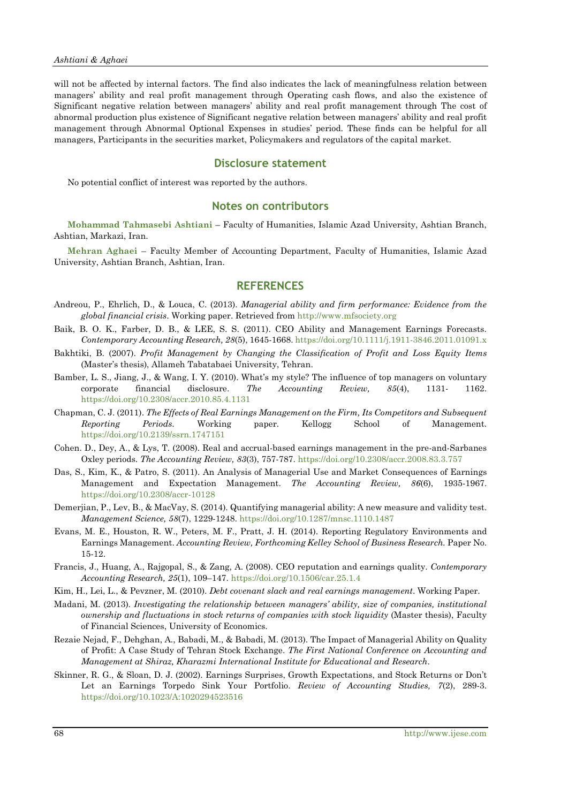will not be affected by internal factors. The find also indicates the lack of meaningfulness relation between managers' ability and real profit management through Operating cash flows, and also the existence of Significant negative relation between managers' ability and real profit management through The cost of abnormal production plus existence of Significant negative relation between managers' ability and real profit management through Abnormal Optional Expenses in studies' period. These finds can be helpful for all managers, Participants in the securities market, Policymakers and regulators of the capital market.

## **Disclosure statement**

No potential conflict of interest was reported by the authors.

#### **Notes on contributors**

**Mohammad Tahmasebi Ashtiani** – Faculty of Humanities, Islamic Azad University, Ashtian Branch, Ashtian, Markazi, Iran.

**Mehran Aghaei** – Faculty Member of Accounting Department, Faculty of Humanities, Islamic Azad University, Ashtian Branch, Ashtian, Iran.

# **REFERENCES**

- Andreou, P., Ehrlich, D., & Louca, C. (2013). *Managerial ability and firm performance: Evidence from the global financial crisis*. Working paper. Retrieved from [http://www.mfsociety.org](http://www.mfsociety.org/)
- Baik, B. O. K., Farber, D. B., & LEE, S. S. (2011). CEO Ability and Management Earnings Forecasts. *Contemporary Accounting Research, 28*(5), 1645-1668. <https://doi.org/10.1111/j.1911-3846.2011.01091.x>
- Bakhtiki, B. (2007). *Profit Management by Changing the Classification of Profit and Loss Equity Items* (Master's thesis), Allameh Tabatabaei University, Tehran.
- Bamber, L. S., Jiang, J., & Wang, I. Y. (2010). What's my style? The influence of top managers on voluntary corporate financial disclosure. *The Accounting Review, 85*(4), 1131- 1162. <https://doi.org/10.2308/accr.2010.85.4.1131>
- Chapman, C. J. (2011). *The Effects of Real Earnings Management on the Firm, Its Competitors and Subsequent Reporting Periods*. Working paper. Kellogg School of Management. <https://doi.org/10.2139/ssrn.1747151>
- Cohen. D., Dey, A., & Lys, T. (2008). Real and accrual-based earnings management in the pre-and-Sarbanes Oxley periods. *The Accounting Review, 83*(3), 757-787. <https://doi.org/10.2308/accr.2008.83.3.757>
- Das, S., Kim, K., & Patro, S. (2011). An Analysis of Managerial Use and Market Consequences of Earnings Management and Expectation Management. *The Accounting Review, 86*(6), 1935-1967. <https://doi.org/10.2308/accr-10128>
- Demerjian, P., Lev, B., & MacVay, S. (2014). Quantifying managerial ability: A new measure and validity test. *Management Science, 58*(7), 1229-1248. <https://doi.org/10.1287/mnsc.1110.1487>
- Evans, M. E., Houston, R. W., Peters, M. F., Pratt, J. H. (2014). Reporting Regulatory Environments and Earnings Management. *Accounting Review, Forthcoming Kelley School of Business Research.* Paper No. 15-12.
- Francis, J., Huang, A., Rajgopal, S., & Zang, A. (2008). CEO reputation and earnings quality. *Contemporary Accounting Research, 25*(1), 109–147. <https://doi.org/10.1506/car.25.1.4>
- Kim, H., Lei, L., & Pevzner, M. (2010). *Debt covenant slack and real earnings management*. Working Paper.
- Madani, M. (2013). *Investigating the relationship between managers' ability, size of companies, institutional ownership and fluctuations in stock returns of companies with stock liquidity* (Master thesis), Faculty of Financial Sciences, University of Economics.
- Rezaie Nejad, F., Dehghan, A., Babadi, M., & Babadi, M. (2013). The Impact of Managerial Ability on Quality of Profit: A Case Study of Tehran Stock Exchange. *The First National Conference on Accounting and Management at Shiraz, Kharazmi International Institute for Educational and Research*.
- Skinner, R. G., & Sloan, D. J. (2002). Earnings Surprises, Growth Expectations, and Stock Returns or Don't Let an Earnings Torpedo Sink Your Portfolio. *Review of Accounting Studies, 7*(2), 289-3. <https://doi.org/10.1023/A:1020294523516>